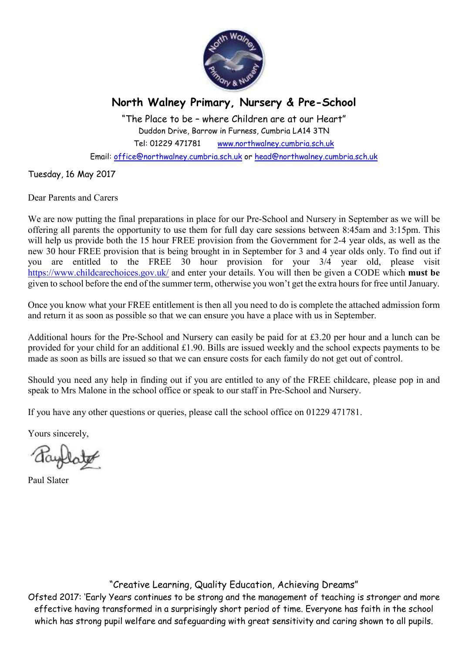

## **North Walney Primary, Nursery & Pre-School**

"The Place to be – where Children are at our Heart" Duddon Drive, Barrow in Furness, Cumbria LA14 3TN Tel: 01229 471781 www.northwalney.cumbria.sch.uk Email: office@northwalney.cumbria.sch.uk or head@northwalney.cumbria.sch.uk

Tuesday, 16 May 2017

Dear Parents and Carers

We are now putting the final preparations in place for our Pre-School and Nursery in September as we will be offering all parents the opportunity to use them for full day care sessions between 8:45am and 3:15pm. This will help us provide both the 15 hour FREE provision from the Government for 2-4 year olds, as well as the new 30 hour FREE provision that is being brought in in September for 3 and 4 year olds only. To find out if you are entitled to the FREE 30 hour provision for your 3/4 year old, please visit https://www.childcarechoices.gov.uk/ and enter your details. You will then be given a CODE which **must be** given to school before the end of the summer term, otherwise you won't get the extra hours for free until January.

Once you know what your FREE entitlement is then all you need to do is complete the attached admission form and return it as soon as possible so that we can ensure you have a place with us in September.

Additional hours for the Pre-School and Nursery can easily be paid for at £3.20 per hour and a lunch can be provided for your child for an additional £1.90. Bills are issued weekly and the school expects payments to be made as soon as bills are issued so that we can ensure costs for each family do not get out of control.

Should you need any help in finding out if you are entitled to any of the FREE childcare, please pop in and speak to Mrs Malone in the school office or speak to our staff in Pre-School and Nursery.

If you have any other questions or queries, please call the school office on 01229 471781.

Yours sincerely,

Paul Slater

"Creative Learning, Quality Education, Achieving Dreams"

Ofsted 2017: 'Early Years continues to be strong and the management of teaching is stronger and more effective having transformed in a surprisingly short period of time. Everyone has faith in the school which has strong pupil welfare and safeguarding with great sensitivity and caring shown to all pupils.